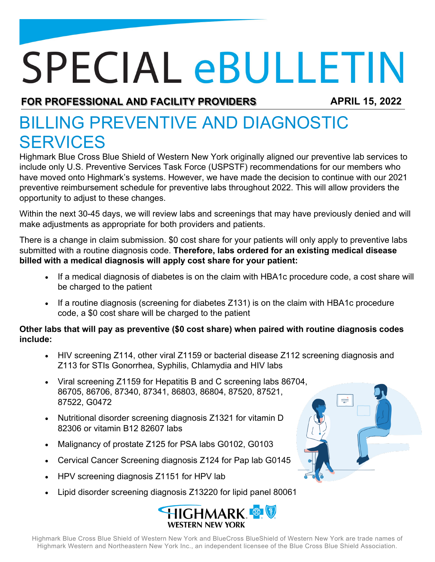## **SPECIAL eBULLETIN**

**FOR PROFESSIONAL AND FACILITY PROVIDERS APRIL 15, 2022**

## BILLING PREVENTIVE AND DIAGNOSTIC **SERVICES**

Highmark Blue Cross Blue Shield of Western New York originally aligned our preventive lab services to include only U.S. Preventive Services Task Force (USPSTF) recommendations for our members who have moved onto Highmark's systems. However, we have made the decision to continue with our 2021 preventive reimbursement schedule for preventive labs throughout 2022. This will allow providers the opportunity to adjust to these changes.

Within the next 30-45 days, we will review labs and screenings that may have previously denied and will make adjustments as appropriate for both providers and patients.

There is a change in claim submission. \$0 cost share for your patients will only apply to preventive labs submitted with a routine diagnosis code. **Therefore, labs ordered for an existing medical disease billed with a medical diagnosis will apply cost share for your patient:**

- If a medical diagnosis of diabetes is on the claim with HBA1c procedure code, a cost share will be charged to the patient
- If a routine diagnosis (screening for diabetes Z131) is on the claim with HBA1c procedure code, a \$0 cost share will be charged to the patient

## **Other labs that will pay as preventive (\$0 cost share) when paired with routine diagnosis codes include:**

- HIV screening Z114, other viral Z1159 or bacterial disease Z112 screening diagnosis and Z113 for STIs Gonorrhea, Syphilis, Chlamydia and HIV labs
- Viral screening Z1159 for Hepatitis B and C screening labs 86704, 86705, 86706, 87340, 87341, 86803, 86804, 87520, 87521, 87522, G0472
- Nutritional disorder screening diagnosis Z1321 for vitamin D 82306 or vitamin B12 82607 labs
- Malignancy of prostate Z125 for PSA labs G0102, G0103
- Cervical Cancer Screening diagnosis Z124 for Pap lab G0145
- HPV screening diagnosis Z1151 for HPV lab
- Lipid disorder screening diagnosis Z13220 for lipid panel 80061



Highmark Blue Cross Blue Shield of Western New York and BlueCross BlueShield of Western New York are trade names of Highmark Western and Northeastern New York Inc., an independent licensee of the Blue Cross Blue Shield Association.